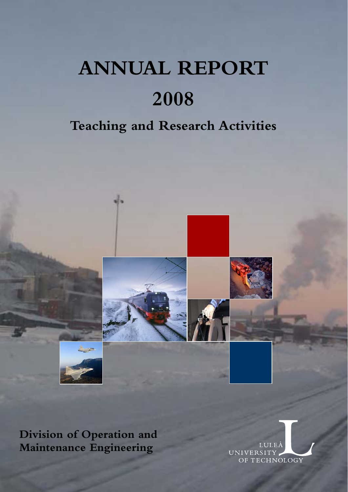# **ANNUAL REPORT 2008**

## **Teaching and Research Activities**



**Division of Operation and Maintenance Engineering** 

**UNIVERSITY** OF TECHNOLOGY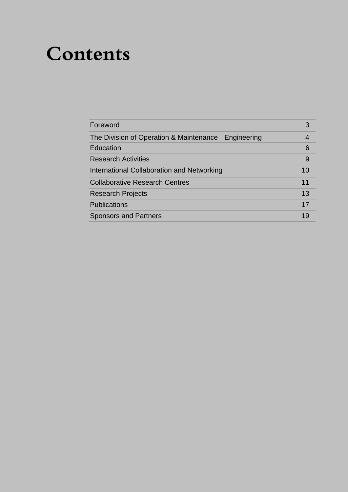## **Contents**

| Foreword                                            | 3  |
|-----------------------------------------------------|----|
| The Division of Operation & Maintenance Engineering |    |
| Education                                           | 6  |
| <b>Research Activities</b>                          | 9  |
| International Collaboration and Networking          | 10 |
| <b>Collaborative Research Centres</b>               | 11 |
| <b>Research Projects</b>                            | 13 |
| <b>Publications</b>                                 | 17 |
| <b>Sponsors and Partners</b>                        | 19 |
|                                                     |    |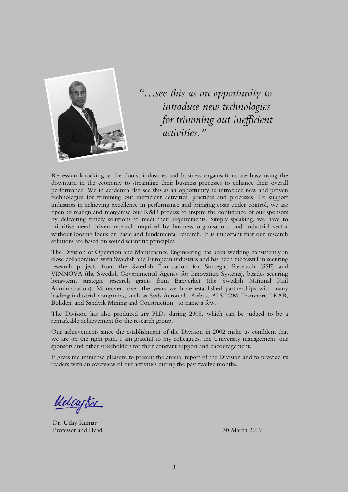

*"…see this as an opportunity to introduce new technologies for trimming out inefficient activities."* 

Recession knocking at the doors, industries and business organisations are busy using the downturn in the economy to streamline their business processes to enhance their overall performance. We in academia also see this as an opportunity to introduce new and proven technologies for trimming out inefficient activities, practices and processes. To support industries in achieving excellence in performance and bringing costs under control, we are open to realign and reorganise our R&D process to inspire the confidence of our sponsors by delivering timely solutions to meet their requirements. Simply speaking, we have to prioritise need driven research required by business organisations and industrial sector without loosing focus on basic and fundamental research. It is important that our research solutions are based on sound scientific principles.

The Division of Operation and Maintenance Engineering has been working consistently in close collaboration with Swedish and European industries and has been successful in securing research projects from the Swedish Foundation for Strategic Research (SSF) and VINNOVA (the Swedish Governmental Agency for Innovation Systems), besides securing long-term strategic research grants from Banverket (the Swedish National Rail Administration). Moreover, over the years we have established partnerships with many leading industrial companies, such as Saab Aerotech, Airbus, ALSTOM Transport, LKAB, Boliden, and Sandvik Mining and Construction, to name a few.

The Division has also produced *six* PhDs during 2008, which can be judged to be a remarkable achievement for the research group.

Our achievements since the establishment of the Division in 2002 make us confident that we are on the right path. I am grateful to my colleagues, the University management, our sponsors and other stakeholders for their constant support and encouragement.

It gives me immense pleasure to present the annual report of the Division and to provide its readers with an overview of our activities during the past twelve months.

Uelcustr:

Dr. Uday Kumar Professor and Head 30 March 2009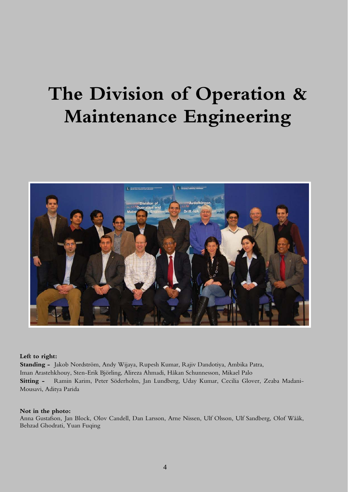## **The Division of Operation & Maintenance Engineering**



#### **Left to right:**

**Standing -** Jakob Nordström, Andy Wijaya, Rupesh Kumar, Rajiv Dandotiya, Ambika Patra, Iman Arastehkhouy, Sten-Erik Björling, Alireza Ahmadi, Håkan Schunnesson, Mikael Palo **Sitting -** Ramin Karim, Peter Söderholm, Jan Lundberg, Uday Kumar, Cecilia Glover, Zeaba Madani-Mousavi, Aditya Parida

#### **Not in the photo:**

Anna Gustafson, Jan Block, Olov Candell, Dan Larsson, Arne Nissen, Ulf Olsson, Ulf Sandberg, Olof Wååk, Behzad Ghodrati, Yuan Fuqing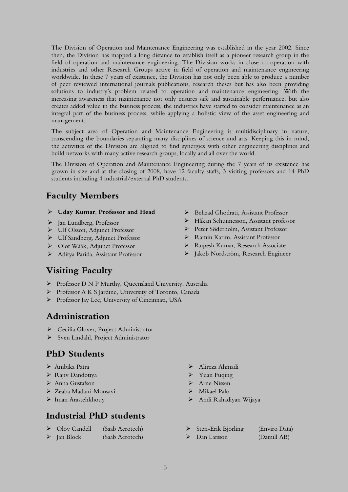The Division of Operation and Maintenance Engineering was established in the year 2002. Since then, the Division has mapped a long distance to establish itself as a pioneer research group in the field of operation and maintenance engineering. The Division works in close co-operation with industries and other Research Groups active in field of operation and maintenance engineering worldwide. In these 7 years of existence, the Division has not only been able to produce a number of peer reviewed international journals publications, research theses but has also been providing solutions to industry's problem related to operation and maintenance engineering. With the increasing awareness that maintenance not only ensures safe and sustainable performance, but also creates added value in the business process, the industries have started to consider maintenance as an integral part of the business process, while applying a holistic view of the asset engineering and management.

The subject area of Operation and Maintenance Engineering is multidisciplinary in nature, transcending the boundaries separating many disciplines of science and arts. Keeping this in mind, the activities of the Division are aligned to find synergies with other engineering disciplines and build networks with many active research groups, locally and all over the world.

The Division of Operation and Maintenance Engineering during the 7 years of its existence has grown in size and at the closing of 2008, have 12 faculty staffs, 3 visiting professors and 14 PhD students including 4 industrial/external PhD students.

## **Faculty Members**

- ¾ **Uday Kumar**, **Professor and Head**
- ¾ Jan Lundberg, Professor
- ¾ Ulf Olsson, Adjunct Professor
- ¾ Ulf Sandberg, Adjunct Professor
- ¾ Olof Wååk, Adjunct Professor
- ¾ Aditya Parida, Assistant Professor
- ¾ Behzad Ghodrati, Assistant Professor
- ¾ Håkan Schunnesson, Assistant professor
- ¾ Peter Söderholm, Assistant Professor
- ¾ Ramin Karim, Assistant Professor
- ¾ Rupesh Kumar, Research Associate
- ¾ Jakob Nordström, Research Engineer

## **Visiting Faculty**

- ¾ Professor D N P Murthy, Queensland University, Australia
- ¾ Professor A K S Jardine, University of Toronto, Canada
- ¾ Professor Jay Lee, University of Cincinnati, USA

## **Administration**

- ¾ Cecilia Glover, Project Administrator
- ¾ Sven Lindahl, Project Administrator

## **PhD Students**

- 
- → Rajiv Dandotiya → Yuan Fuqing
- 
- ¾ Zeaba Madani-Mousavi ¾ Mikael Palo
- 

## **Industrial PhD students**

| ➤ | Olov Candell | (Saab Aerotech) |
|---|--------------|-----------------|
| ➤ | Jan Block    | (Saab Aerotech) |

- ¾ Ambika Patra ¾ Alireza Ahmadi
	-
- → Anna Gustafson → Arne Nissen
	-
- ¾ Iman Arastehkhouy ¾ Andi Rahadiyan Wijaya
	- ¾ Sten-Erik Björling (Enviro Data)
	- ¾ Dan Larsson (Damill AB)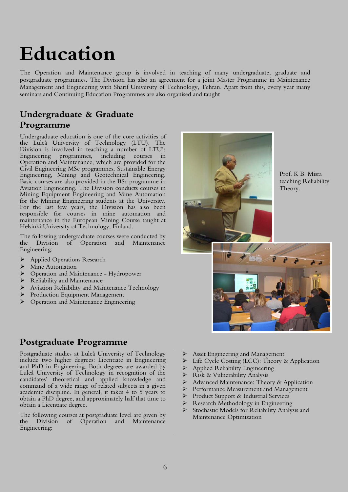# **Education**

The Operation and Maintenance group is involved in teaching of many undergraduate, graduate and postgraduate programmes. The Division has also an agreement for a joint Master Programme in Maintenance Management and Engineering with Sharif University of Technology, Tehran. Apart from this, every year many seminars and Continuing Education Programmes are also organised and taught

## **Undergraduate & Graduate Programme**

Undergraduate education is one of the core activities of the Luleå University of Technology (LTU). The Division is involved in teaching a number of LTU's Engineering programmes, including courses in Operation and Maintenance, which are provided for the Civil Engineering MSc programmes, Sustainable Energy Engineering, Mining and Geotechnical Engineering. Basic courses are also provided in the BSc programme in Aviation Engineering. The Division conducts courses in Mining Equipment Engineering and Mine Automation for the Mining Engineering students at the University. For the last few years, the Division has also been responsible for courses in mine automation and maintenance in the European Mining Course taught at Helsinki University of Technology, Finland.

The following undergraduate courses were conducted by the Division of Operation and Maintenance Engineering:

- ¾ Applied Operations Research
- Mine Automation
- ¾ Operation and Maintenance Hydropower
- Reliability and Maintenance
- Aviation Reliability and Maintenance Technology
- **Production Equipment Management**
- ¾ Operation and Maintenance Engineering

## **Postgraduate Programme**

Postgraduate studies at Luleå University of Technology include two higher degrees: Licentiate in Engineering and PhD in Engineering. Both degrees are awarded by Luleå University of Technology in recognition of the candidates' theoretical and applied knowledge and command of a wide range of related subjects in a given academic discipline. In general, it takes 4 to 5 years to obtain a PhD degree, and approximately half that time to obtain a Licentiate degree.

The following courses at postgraduate level are given by the Division of Operation and Maintenance Engineering:



Prof. K B. Misra teaching Reliability Theory.



- Asset Engineering and Management
- $\geq$  Life Cycle Costing (LCC): Theory & Application<br>  $\geq$  Applied Reliability Engineering
- $\triangleright$  Applied Reliability Engineering<br> $\triangleright$  Risk & Vulnerability Analysis
- ▶ Risk & Vulnerability Analysis<br>► Advanced Maintenance: Theo
- Advanced Maintenance: Theory & Application
- ¾ Performance Measurement and Management
- ▶ Product Support &amp; Industrial Services<br/>\n▶ Research Methodology in Engineering
- ¾ Research Methodology in Engineering
- ¾ Stochastic Models for Reliability Analysis and Maintenance Optimization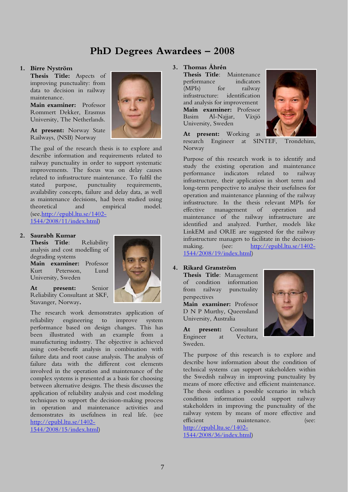## **PhD Degrees Awardees – 2008**

#### **1. Birre Nyström**

**Thesis Title:** Aspects of improving punctuality: from data to decision in railway maintenance.

**Main examiner:** Professor Rommert Dekker, Erasmus University, The Netherlands.

**At present:** Norway State Railways, (NSB) Norway

The goal of the research thesis is to explore and describe information and requirements related to railway punctuality in order to support systematic improvements. The focus was on delay causes related to infrastructure maintenance. To fulfil the stated purpose, punctuality requirements, availability concepts, failure and delay data, as well as maintenance decisions, had been studied using theoretical and empirical model. (see.http://epubl.ltu.se/1402- 1544/2008/11/index.html)

### **2. Saurabh Kumar**

**Thesis Title**: Reliability analysis and cost modelling of degrading systems

**Main examiner:** Professor Kurt Petersson, Lund University, Sweden

**At present:** Senior Reliability Consultant at SKF, Stavanger, Norway**.** 

The research work demonstrates application of reliability engineering to improve system performance based on design changes. This has been illustrated with an example from a manufacturing industry. The objective is achieved using cost-benefit analysis in combination with failure data and root cause analysis. The analysis of failure data with the different cost elements involved in the operation and maintenance of the complex systems is presented as a basis for choosing between alternative designs. The thesis discusses the application of reliability analysis and cost modeling techniques to support the decision-making process in operation and maintenance activities and demonstrates its usefulness in real life. (see http://epubl.ltu.se/1402- 1544/2008/15/index.html)



## **3. Thomas Åhrén**

**Thesis Title**: Maintenance performance indicators (MPIs) for railway infrastructure: identification and analysis for improvement **Main examiner:** Professor Basim Al-Najjar, Växjö University, Sweden



**At present:** Working as research Engineer at SINTEF, Trondehim, Norway

Purpose of this research work is to identify and study the existing operation and maintenance performance indicators related to railway infrastructure, their application in short term and long-term perspective to analyse their usefulness for operation and maintenance planning of the railway infrastructure. In the thesis relevant MPIs for effective management of operation and maintenance of the railway infrastructure are identified and analyzed. Further, models like LinkEM and ORIE are suggested for the railway infrastructure managers to facilitate in the decisionmaking. (see: http://epubl.ltu.se/1402-1544/2008/19/index.html)

## **4. Rikard Granström**

**Thesis Title**: Management of condition information from railway punctuality perspectives

**Main examiner:** Professor D N P Murthy, Queensland University, Australia

**At present:** Consultant Engineer at Vectura, Sweden.



The purpose of this research is to explore and describe how information about the condition of technical systems can support stakeholders within the Swedish railway in improving punctuality by means of more effective and efficient maintenance. The thesis outlines a possible scenario in which condition information could support railway stakeholders in improving the punctuality of the railway system by means of more effective and efficient maintenance. (see: http://epubl.ltu.se/1402-

1544/2008/36/index.html)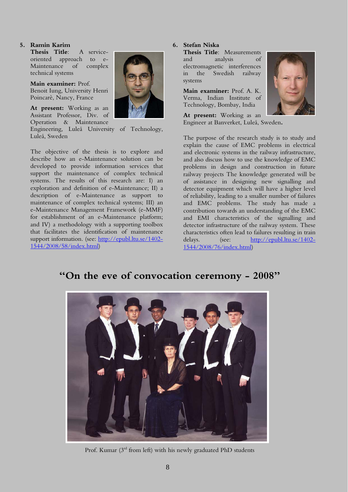## **5. Ramin Karim**

**Thesis Title**: A serviceoriented approach to e-Maintenance of complex technical systems

**Main examiner:** Prof. Benoit Iung, University Henri Poincarè, Nancy, France

**At present:** Working as an Assistant Professor, Div. of Operation & Maintenance

Engineering, Luleå University of Technology, Luleå, Sweden

The objective of the thesis is to explore and describe how an e-Maintenance solution can be developed to provide information services that support the maintenance of complex technical systems. The results of this research are: I) an exploration and definition of e-Maintenance; II) a description of e-Maintenance as support to maintenance of complex technical systems; III) an e-Maintenance Management Framework (e-MMF) for establishment of an e-Maintenance platform; and IV) a methodology with a supporting toolbox that facilitates the identification of maintenance support information. (see: http://epubl.ltu.se/1402-1544/2008/58/index.html)



### **6. Stefan Niska**

**Thesis Title**: Measurements and analysis of electromagnetic interferences in the Swedish railway systems

**Main examiner:** Prof. A. K. Verma, Indian Institute of Technology, Bombay, India



**At present:** Working as an Engineer at Banverket, Luleå, Sweden**.** 

The purpose of the research study is to study and explain the cause of EMC problems in electrical and electronic systems in the railway infrastructure, and also discuss how to use the knowledge of EMC problems in design and construction in future railway projects The knowledge generated will be of assistance in designing new signalling and detector equipment which will have a higher level of reliability, leading to a smaller number of failures and EMC problems. The study has made a contribution towards an understanding of the EMC and EMI characteristics of the signalling and detector infrastructure of the railway system. These characteristics often lead to failures resulting in train delays. (see: http://epubl.ltu.se/1402-1544/2008/76/index.html)

## **"On the eve of convocation ceremony - 2008"**



Prof. Kumar (3<sup>rd</sup> from left) with his newly graduated PhD students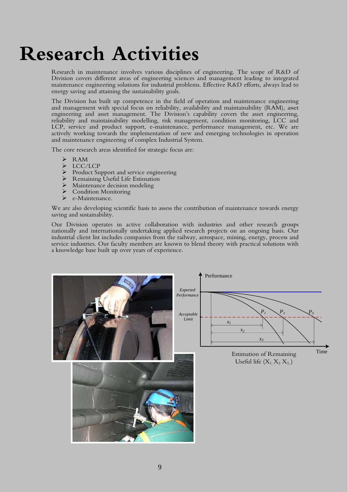## **Research Activities**

Research in maintenance involves various disciplines of engineering. The scope of R&D of Division covers different areas of engineering sciences and management leading to integrated maintenance engineering solutions for industrial problems. Effective R&D efforts, always lead to energy saving and attaining the sustainability goals.

The Division has built up competence in the field of operation and maintenance engineering and management with special focus on reliability, availability and maintainability (RAM), asset engineering and asset management. The Division's capability covers the asset engineering, reliability and maintainability modelling, risk management, condition monitoring, LCC and LCP, service and product support, e-maintenance, performance management, etc. We are actively working towards the implementation of new and emerging technologies in operation and maintenance engineering of complex Industrial System.

The core research areas identified for strategic focus are:

- ¾ RAM
- > LCC/LCP
- $\triangleright$  Product Support and service engineering
- ¾ Remaining Useful Life Estimation
- $\triangleright$  Maintenance decision modeling
- $\sum_{n=1}^{\infty}$  Condition Monitoring
- e-Maintenance.

We are also developing scientific basis to assess the contribution of maintenance towards energy saving and sustainability.

Our Division operates in active collaboration with industries and other research groups nationally and internationally undertaking applied research projects on an ongoing basis. Our industrial client list includes companies from the railway, aerospace, mining, energy, process and service industries. Our faculty members are known to blend theory with practical solutions with a knowledge base built up over years of experience.

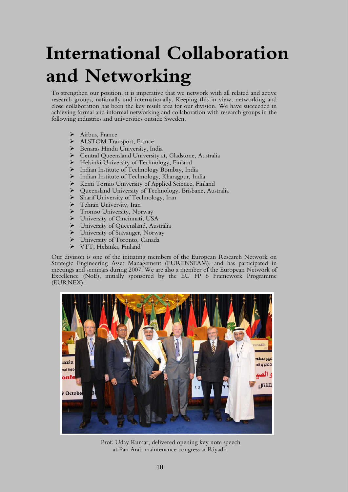## **International Collaboration and Networking**

To strengthen our position, it is imperative that we network with all related and active research groups, nationally and internationally. Keeping this in view, networking and close collaboration has been the key result area for our division. We have succeeded in achieving formal and informal networking and collaboration with research groups in the following industries and universities outside Sweden.

- $\triangleright$  Airbus, France
- ¾ ALSTOM Transport, France
- ¾ Benaras Hindu University, India
- ¾ Central Queensland University at, Gladstone, Australia
- ¾ Helsinki University of Technology, Finland
- ¾ Indian Institute of Technology Bombay, India
- ¾ Indian Institute of Technology, Kharagpur, India
- ¾ Kemi Tornio University of Applied Science, Finland
- ¾ Queensland University of Technology, Brisbane, Australia
- ¾ Sharif University of Technology, Iran
- ▶ Tehran University, Iran
- ¾ Tromsö University, Norway
- ¾ University of Cincinnati, USA
- ¾ University of Queensland, Australia
- $\triangleright$  University of Stavanger, Norway
- ¾ University of Toronto, Canada
- ¾ VTT, Helsinki, Finland

Our division is one of the initiating members of the European Research Network on Strategic Engineering Asset Management (EURENSEAM), and has participated in meetings and seminars during 2007. We are also a member of the European Network of Excellence (NoE), initially sponsored by the EU FP 6 Framework Programme (EURNEX).



Prof. Uday Kumar, delivered opening key note speech at Pan Arab maintenance congress at Riyadh.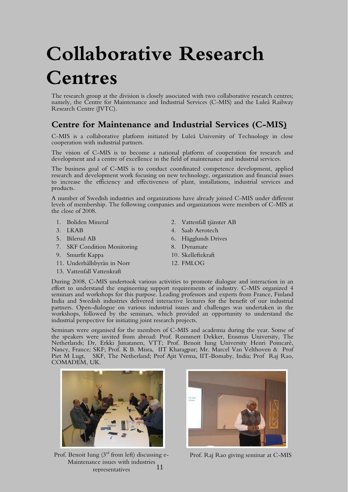# **Collaborative Research Centres**

The research group at the division is closely associated with two collaborative research centres; namely, the Centre for Maintenance and Industrial Services (C-MIS) and the Luleå Railway Research Centre (JVTC).

## **Centre for Maintenance and Industrial Services (C-MIS)**

C-MIS is a collaborative platform initiated by Luleå University of Technology in close cooperation with industrial partners.

The vision of C-MIS is to become a national platform of cooperation for research and development and a centre of excellence in the field of maintenance and industrial services.

The business goal of C-MIS is to conduct coordinated competence development, applied research and development work focusing on new technology, organization and financial issues to increase the efficiency and effectiveness of plant, installations, industrial services and products.

A number of Swedish industries and organizations have already joined C-MIS under different levels of membership. The following companies and organizations were members of C-MIS at the close of 2008.

- 
- 
- 
- 7. SKF Condition Monitoring 8. Dynamate
- 9. Smurfit Kappa 10. Skelleftekraft
- 11. Underhållsbyrån in Norr 12. FMLOG
- 13. Vattenfall Vattenkraft
- 1. Boliden Mineral 2. Vattenfall tjänster AB
- 3. LKAB 4. Saab Aerotech
- 5. Bilerud AB 6. Hägglunds Drives
	-
	-
	-

During 2008, C-MIS undertook various activities to promote dialogue and interaction in an effort to understand the engineering support requirements of industry. C-MIS organized 4 seminars and workshops for this purpose. Leading professors and experts from France, Finland India and Swedish industries delivered interactive lectures for the benefit of our industrial partners. Open-dialogue on various industrial issues and challenges was undertaken in the workshops, followed by the seminars, which provided an opportunity to understand the industrial perspective for initiating joint research projects.

Seminars were organised for the members of C-MIS and academia during the year. Some of the speakers were invited from abroad: Prof. Rommert Dekker, Erasmus University, The Netherlands; Dr, Erkki Junatanen, VTT; Prof. Benoit Iung University Henri Poincarè, Nancy, France; SKF; Prof. K B. Misra, IIT Kharagpur; Mr. Marcel Van Velthoven & Prof Piet M Lugt, SKF, The Netherland; Prof Ajit Verma, IIT-Bomaby, India; Prof Raj Rao, COMADEM, UK.



11 Prof. Benoit Iung  $(3<sup>rd</sup>$  from left) discussing e-<br>Prof. Raj Rao giving seminar at C-MIS Maintenance issues with industries representatives

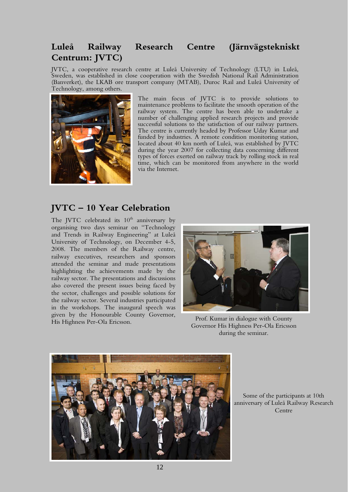## **Luleå Railway Research Centre (Järnvägstekniskt Centrum: JVTC)**

JVTC, a cooperative research centre at Luleå University of Technology (LTU) in Luleå, Sweden, was established in close cooperation with the Swedish National Rail Administration (Banverket), the LKAB ore transport company (MTAB), Duroc Rail and Luleå University of Technology, among others.



The main focus of JVTC is to provide solutions to maintenance problems to facilitate the smooth operation of the railway system. The centre has been able to undertake a number of challenging applied research projects and provide successful solutions to the satisfaction of our railway partners. The centre is currently headed by Professor Uday Kumar and funded by industries. A remote condition monitoring station, located about 40 km north of Luleå, was established by JVTC during the year 2007 for collecting data concerning different types of forces exerted on railway track by rolling stock in real time, which can be monitored from anywhere in the world via the Internet.

## **JVTC – 10 Year Celebration**

The JVTC celebrated its  $10<sup>th</sup>$  anniversary by organising two days seminar on "Technology and Trends in Railway Engineering" at Luleå University of Technology, on December 4-5, 2008. The members of the Railway centre, railway executives, researchers and sponsors attended the seminar and made presentations highlighting the achievements made by the railway sector. The presentations and discussions also covered the present issues being faced by the sector, challenges and possible solutions for the railway sector. Several industries participated in the workshops. The inaugural speech was given by the Honourable County Governor, From By the Honoldiant County Governor, Prof. Kumar in dialogue with County His Highness Per-Ola Ericsson.



Governor His Highness Per-Ola Ericsson during the seminar.



Some of the participants at 10th anniversary of Luleå Railway Research Centre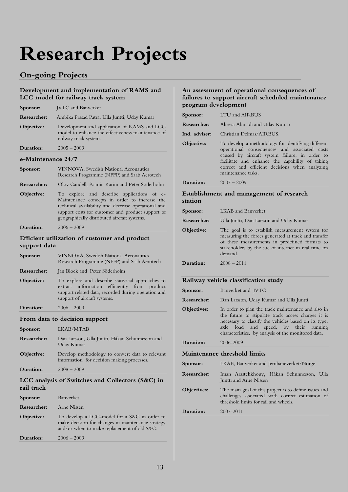# **Research Projects**

## **On-going Projects**

## **Development and implementation of RAMS and LCC model for railway track system**

| Sponsor:                                                      | <b>JVTC</b> and Banverket                                                                                                                                                                                                                                      |  |
|---------------------------------------------------------------|----------------------------------------------------------------------------------------------------------------------------------------------------------------------------------------------------------------------------------------------------------------|--|
| Researcher:                                                   | Ambika Prasad Patra, Ulla Juntti, Uday Kumar                                                                                                                                                                                                                   |  |
| Objective:                                                    | Development and application of RAMS and LCC<br>model to enhance the effectiveness maintenance of<br>railway track system.                                                                                                                                      |  |
| Duration:                                                     | $2005 - 2009$                                                                                                                                                                                                                                                  |  |
| e-Maintenance 24/7                                            |                                                                                                                                                                                                                                                                |  |
| Sponsor:                                                      | VINNOVA, Swedish National Aeronautics<br>Research Programme (NFFP) and Saab Aerotech                                                                                                                                                                           |  |
| Researcher:                                                   | Olov Candell, Ramin Karim and Peter Söderholm                                                                                                                                                                                                                  |  |
| Objective:                                                    | To explore and describe applications<br>$of$ $e-$<br>Maintenance concepts in order to increase the<br>technical availability and decrease operational and<br>support costs for customer and product support of<br>geographically distributed aircraft systems. |  |
| Duration:                                                     | $2006 - 2009$                                                                                                                                                                                                                                                  |  |
| Efficient utilization of customer and product<br>support data |                                                                                                                                                                                                                                                                |  |
| Sponsor:                                                      | VINNOVA, Swedish National Aeronautics<br>Research Programme (NFFP) and Saab Aerotech                                                                                                                                                                           |  |
| Researcher:                                                   | Jan Block and Peter Söderholm                                                                                                                                                                                                                                  |  |
| Objective:                                                    | To explore and describe statistical approaches to<br>extract information efficiently from<br>product<br>support related data, recorded during operation and<br>support of aircraft systems.                                                                    |  |
| Duration:                                                     | $2006 - 2009$                                                                                                                                                                                                                                                  |  |
| From data to decision support                                 |                                                                                                                                                                                                                                                                |  |
| Sponsor:                                                      | LKAB/MTAB                                                                                                                                                                                                                                                      |  |
| Researcher:                                                   | Dan Larsson, Ulla Juntti, Håkan Schunnesson and<br>Uday Kumar                                                                                                                                                                                                  |  |
| Objective:                                                    | Develop methodology to convert data to relevant<br>information for decision making processes.                                                                                                                                                                  |  |
| Duration:                                                     | $2008 - 2009$                                                                                                                                                                                                                                                  |  |
|                                                               |                                                                                                                                                                                                                                                                |  |

### **LCC analysis of Switches and Collectors (S&C) in rail track**

| Sponsor:    | Banverket                                                                                                                                        |
|-------------|--------------------------------------------------------------------------------------------------------------------------------------------------|
| Researcher: | Arne Nissen                                                                                                                                      |
| Objective:  | To develop a LCC-model for a S&C in order to<br>make decision for changes in maintenance strategy<br>and/or when to make replacement of old S&C. |
| Duration:   | $2006 - 2009$                                                                                                                                    |

## **An assessment of operational consequences of failures to support aircraft scheduled maintenance program development**

| Sponsor:      | LTU and AIRBUS                                                                                                                                                                                                                                                                   |
|---------------|----------------------------------------------------------------------------------------------------------------------------------------------------------------------------------------------------------------------------------------------------------------------------------|
| Researcher:   | Alireza Ahmadi and Uday Kumar                                                                                                                                                                                                                                                    |
| Ind. adviser: | Christian Delmas/AIRBUS.                                                                                                                                                                                                                                                         |
| Objective:    | To develop a methodology for identifying different<br>operational consequences and associated costs<br>caused by aircraft system failure, in order to<br>facilitate and enhance the capability of taking<br>correct and efficient decisions when analyzing<br>maintenance tasks. |
| Duration:     | $2007 - 2009$                                                                                                                                                                                                                                                                    |
| station       | Establishment and management of research                                                                                                                                                                                                                                         |
| Sponsor:      | LKAB and Banverket                                                                                                                                                                                                                                                               |
| Researcher:   | Ulla Juntti, Dan Larsson and Uday Kumar                                                                                                                                                                                                                                          |
| Objective:    | The goal is to establish measurement system for                                                                                                                                                                                                                                  |

| Objective: | The goal is to establish measurement system for                                                                  |
|------------|------------------------------------------------------------------------------------------------------------------|
|            | measuring the forces generated at track and transfer                                                             |
|            | of these measurements in predefined formats to<br>stakeholders by the sue of internet in real time on<br>demand. |
|            |                                                                                                                  |

**Duration:** 2008 – 2011

### **Railway vehicle classification study**

| Sponsor:    | Banverket and JVTC                                                                                                                                                                                                                                                |
|-------------|-------------------------------------------------------------------------------------------------------------------------------------------------------------------------------------------------------------------------------------------------------------------|
| Researcher: | Dan Larsson, Uday Kumar and Ulla Juntti                                                                                                                                                                                                                           |
| Objectives: | In order to plan the track maintenance and also in<br>the future to stipulate track access charges it is<br>necessary to classify the vehicles based on its type,<br>axle load and speed, by their running<br>characteristics, by analysis of the monitored data. |
| Duration:   | 2006-2009                                                                                                                                                                                                                                                         |
|             | Maintenance threshold limits                                                                                                                                                                                                                                      |
| Sponsor:    | LKAB, Banverket and Jernbaneverket/Norge                                                                                                                                                                                                                          |
| Researcher: | Iman Arastehkhouy, Håkan Schunnesson, Ulla<br>Juntti and Arne Nissen                                                                                                                                                                                              |
| Objectives: | The main goal of this project is to define issues and<br>challenges associated with correct estimation of<br>threshold limits for rail and wheels.                                                                                                                |
| Duration:   | 2007-2011                                                                                                                                                                                                                                                         |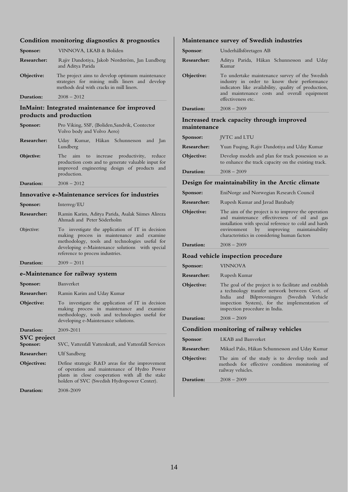#### **Condition monitoring diagnostics & prognostics**

| Sponsor:    | VINNOVA, LKAB & Boliden                                                                                                                       |
|-------------|-----------------------------------------------------------------------------------------------------------------------------------------------|
| Researcher: | Rajiv Dandotiya, Jakob Nordström, Jan Lundberg<br>and Aditya Parida                                                                           |
| Objective:  | The project aims to develop optimum maintenance<br>strategies for mining mills liners and develop<br>methods deal with cracks in mill liners. |
| Duration:   | $2008 - 2012$                                                                                                                                 |

#### **InMaint: Integrated maintenance for improved products and production**

| Sponsor:                                         | Pro Viking, SSF, (Boliden, Sandvik, Contector<br>Volvo body and Volvo Aero)                                                                                   |
|--------------------------------------------------|---------------------------------------------------------------------------------------------------------------------------------------------------------------|
| Researcher:                                      | Uday Kumar, Håkan Schunnesson and<br>lan<br>Lundberg                                                                                                          |
| Objective:                                       | The aim to increase productivity, reduce<br>production costs and to generate valuable input for<br>improved engineering design of products and<br>production. |
| Duration:                                        | $2008 - 2012$                                                                                                                                                 |
| Innovative e-Maintenance services for industries |                                                                                                                                                               |
| Sponsor:                                         | Interreg/EU                                                                                                                                                   |

- **Researcher:** Ramin Karim, Aditya Parida, Asalak Siimes Alireza Ahmadi and Peter Söderholm
- Objective: To investigate the application of IT in decision making process in maintenance and examine methodology, tools and technologies useful for developing e-Maintenance solutions with special reference to process industries.
- **Duration:** 2009 2011

## **e-Maintenance for railway system**

| e-Manitenance for Tanway system |                                                                                                                                                                                        |
|---------------------------------|----------------------------------------------------------------------------------------------------------------------------------------------------------------------------------------|
| Sponsor:                        | Banverket                                                                                                                                                                              |
| Researcher:                     | Ramin Karim and Uday Kumar                                                                                                                                                             |
| Objective:                      | To investigate the application of IT in decision<br>making process in maintenance and examine<br>methodology, tools and technologies useful for<br>developing e-Maintenance solutions. |
| Duration:                       | 2009-2011                                                                                                                                                                              |
| <b>SVC</b> project<br>Sponsor:  | SVC, Vattenfall Vattenkraft, and Vattenfall Services                                                                                                                                   |
| Researcher:                     | Ulf Sandberg                                                                                                                                                                           |

**Objectives:** Define strategic R&D areas for the improvement of operation and maintenance of Hydro Power plants in close cooperation with all the stake holders of SVC (Swedish Hydropower Center).

**Duration:** 2008-2009

#### **Maintenance survey of Swedish industries**

| Sponsor:           | Underhållsföretagen AB                                                                                                                                                                                                                                     |
|--------------------|------------------------------------------------------------------------------------------------------------------------------------------------------------------------------------------------------------------------------------------------------------|
| Researcher:        | Aditya Parida, Håkan Schunnesson and Uday<br>Kumar                                                                                                                                                                                                         |
| Objective:         | To undertake maintenance survey of the Swedish<br>industry in order to know their performance<br>indicators like availability, quality of production,<br>and maintenance costs and overall equipment<br>effectiveness etc.                                 |
| Duration:          | 2008 – 2009                                                                                                                                                                                                                                                |
| maintenance        | Increased track capacity through improved                                                                                                                                                                                                                  |
| Sponsor:           | JVTC and LTU                                                                                                                                                                                                                                               |
| <b>Researcher:</b> | Yuan Fuqing, Rajiv Dandotiya and Uday Kumar                                                                                                                                                                                                                |
| Objective:         | Develop models and plan for track possession so as<br>to enhance the track capacity on the existing track.                                                                                                                                                 |
| Duration:          | 2008 – 2009                                                                                                                                                                                                                                                |
|                    | Design for maintainability in the Arctic climate                                                                                                                                                                                                           |
| Sponsor:           | EniNorge and Norwegian Research Council                                                                                                                                                                                                                    |
| Researcher:        | Rupesh Kumar and Javad Barabady                                                                                                                                                                                                                            |
| Objective:         | The aim of the project is to improve the operation<br>and maintenance effectiveness of oil and gas<br>installation with special reference to cold and harsh<br>environment by improving<br>maintainability<br>characteristics in considering human factors |
| Duration:          | $2008 - 2009$                                                                                                                                                                                                                                              |
|                    | Road vehicle inspection procedure                                                                                                                                                                                                                          |
| Sponsor:           | <b>VINNOVA</b>                                                                                                                                                                                                                                             |
| Researcher:        | Rupesh Kumar                                                                                                                                                                                                                                               |
| Objective:         | The goal of the project is to facilitate and establish<br>a technology transfer network between Govt. of<br>Bilprrovningen<br>India<br>and<br>(Swedish<br>Vehicle<br>inspection System), for the implementation of<br>inspection procedure in India.       |
| Duration:          | $2008 - 2009$                                                                                                                                                                                                                                              |
|                    | Condition monitoring of railway vehicles                                                                                                                                                                                                                   |
| Sponsor:           | LKAB and Banverket                                                                                                                                                                                                                                         |
| <b>Researcher:</b> | Mikael Palo, Håkan Schunnesson and Uday Kumar                                                                                                                                                                                                              |
| Objective:         | The aim of the study is to develop tools and<br>methods for effective condition monitoring of<br>railway vehicles.                                                                                                                                         |
| Duration:          | $2008 - 2009$                                                                                                                                                                                                                                              |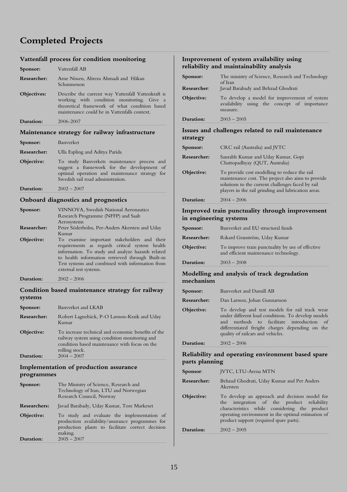## **Completed Projects**

## **Vattenfall process for condition monitoring**

| Sponsor:    | Vattenfall AB                                                                                                                                                                                    |  |
|-------------|--------------------------------------------------------------------------------------------------------------------------------------------------------------------------------------------------|--|
| Researcher: | Arne Nissen, Alireza Ahmadi and Håkan<br>Schunnesson                                                                                                                                             |  |
| Objectives: | Describe the current way Vattenfall Vattenkraft is<br>working with condition monitoring. Give a<br>theoretical framework of what condition based<br>maintenance could be in Vattenfalls context. |  |
| Duration:   | 2006-2007                                                                                                                                                                                        |  |
|             | Maintenance strategy for railway infrastructure                                                                                                                                                  |  |
| Sponsor:    | Banverket                                                                                                                                                                                        |  |
| Researcher: | Ulla Espling and Aditya Parida                                                                                                                                                                   |  |
| Objective:  | To study Banverkets maintenance process and<br>suggest a framework for the development of<br>optimal operation and maintenance strategy for<br>Swedish rail road administration.                 |  |

## **Duration:** 2002 – 2007

#### **Onboard diagnostics and prognostics**

| Sponsor:    | VINNOVA, Swedish National Aeronautics<br>Research Programme (NFFP) and Saab                                                                                                                                                                                                         |
|-------------|-------------------------------------------------------------------------------------------------------------------------------------------------------------------------------------------------------------------------------------------------------------------------------------|
|             | Aerosystems                                                                                                                                                                                                                                                                         |
| Researcher: | Peter Söderholm, Per-Anders Akersten and Uday                                                                                                                                                                                                                                       |
|             | Kumar                                                                                                                                                                                                                                                                               |
| Objective:  | To examine important stakeholders and their<br>requirements as regards critical system health<br>information. To study and analyze hazards related<br>to health information retrieved through Built-in<br>Test systems and combined with information from<br>external test systems. |
| Duration:   | $2002 - 2006$                                                                                                                                                                                                                                                                       |

#### **Condition based maintenance strategy for railway systems**

| Researcher: | Robert Lagnebäck, P-O Larsson-Kraik and Uday<br>Kumar                                                                                                                  |
|-------------|------------------------------------------------------------------------------------------------------------------------------------------------------------------------|
| Objective:  | To increase technical and economic benefits of the<br>railway system using condition monitoring and<br>condition based maintenance with focus on the<br>rolling stock. |
| Duration:   | $2004 - 2007$                                                                                                                                                          |

### **Implementation of production assurance programmes**

| Duration:           | production plants to facilitate correct decision<br>making.<br>$2005 - 2007$                               |
|---------------------|------------------------------------------------------------------------------------------------------------|
| Objective:          | To study and evaluate the implementation of<br>production availability/assurance programmes for            |
| <b>Researchers:</b> | Javad Barabady, Uday Kumar, Tore Markeset                                                                  |
| Sponsor:            | The Ministry of Science, Research and<br>Technology of Iran, LTU and Norwegian<br>Research Council, Norway |

#### **Improvement of system availability using reliability and maintainability analysis**

| Sponsor:<br>Researcher: | The ministry of Science, Research and Technology<br>of Iran<br>Javad Barabady and Behzad Ghodrati        |
|-------------------------|----------------------------------------------------------------------------------------------------------|
| Objective:              | To develop a model for improvement of system<br>availability using the concept of importance<br>measure. |
| Duration:               | $2003 - 2005$                                                                                            |

#### **Issues and challenges related to rail maintenance strategy**

| Sponsor:    | CRC rail (Australia) and JVTC                                                                                                                                                                                  |
|-------------|----------------------------------------------------------------------------------------------------------------------------------------------------------------------------------------------------------------|
| Researcher: | Saurabh Kumar and Uday Kumar, Gopi<br>Chattopadhyay (QUT, Australia)                                                                                                                                           |
| Objective:  | To provide cost modelling to reduce the rail<br>maintenance cost. The project also aims to provide<br>solutions to the current challenges faced by rail<br>players in the rail grinding and lubrication areas. |
| Duration:   | $2004 - 2006$                                                                                                                                                                                                  |

#### **Improved train punctuality through improvement in engineering systems**

| Sponsor:           | Banverket and EU structural funds                                                         |
|--------------------|-------------------------------------------------------------------------------------------|
| <b>Researcher:</b> | Rikard Granström, Uday Kumar                                                              |
| Objective:         | To improve train punctuality by use of effective<br>and efficient maintenance technology. |
| Duration:          | $2003 - 2008$                                                                             |

### **Modelling and analysis of track degradation mechanism**

| Sponsor:    | Banverket and Damill AB                                                                                                                                                                                                                   |
|-------------|-------------------------------------------------------------------------------------------------------------------------------------------------------------------------------------------------------------------------------------------|
| Researcher: | Dan Larsson, Johan Gunnarsson                                                                                                                                                                                                             |
| Objective:  | To develop and test models for rail track wear<br>under different load conditions. To develop models<br>and methods to facilitate introduction of<br>differentiated freight charges depending on the<br>quality of railcars and vehicles. |
| Duration:   | $2002 - 2006$                                                                                                                                                                                                                             |

### **Reliability and operating environment based spare parts planning**

| Sponsor:    | <b>JVTC, LTU-Arena MTN</b>                                                                                                                                                                                                                    |
|-------------|-----------------------------------------------------------------------------------------------------------------------------------------------------------------------------------------------------------------------------------------------|
| Researcher: | Behzad Ghodrati, Uday Kumar and Per Anders<br>Akersten                                                                                                                                                                                        |
| Objective:  | To develop an approach and decision model for<br>the integration of the product reliability<br>characteristics while considering the product<br>operating environment in the optimal estimation of<br>product support (required spare parts). |
| Duration:   | $2002 - 2005$                                                                                                                                                                                                                                 |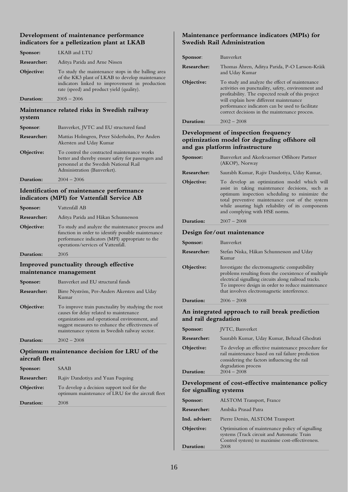## **Development of maintenance performance indicators for a pelletization plant at LKAB**

| Duration:   | $2005 - 2006$                                                                                                                                                                                        |
|-------------|------------------------------------------------------------------------------------------------------------------------------------------------------------------------------------------------------|
| Objective:  | To study the maintenance stops in the balling area<br>of the KK3 plant of LKAB to develop maintenance<br>indicators linked to improvement in production<br>rate (speed) and product yield (quality). |
| Researcher: | Aditya Parida and Arne Nissen                                                                                                                                                                        |
| Sponsor:    | LKAB and LTU                                                                                                                                                                                         |

#### **Maintenance related risks in Swedish railway system**

| Sponsor:    | Banverket, JVTC and EU structured fund                                                                                                                                      |
|-------------|-----------------------------------------------------------------------------------------------------------------------------------------------------------------------------|
| Researcher: | Mattias Holmgren, Peter Söderholm, Per Anders<br>Akersten and Uday Kumar                                                                                                    |
| Objective:  | To control the contracted maintenance works<br>better and thereby ensure safety for passengers and<br>personnel at the Swedish National Rail<br>Administration (Banverket). |

### **Duration:**  $2004 - 2006$

#### **Identification of maintenance performance indicators (MPI) for Vattenfall Service AB**

| Sponsor:    | Vattenfall AB                                                                                                                                                                                   |
|-------------|-------------------------------------------------------------------------------------------------------------------------------------------------------------------------------------------------|
| Researcher: | Aditya Parida and Håkan Schunnesson                                                                                                                                                             |
| Objective:  | To study and analyze the maintenance process and<br>function in order to identify possible maintenance<br>performance indicators (MPI) appropriate to the<br>operations/services of Vattenfall. |
| Duration:   | 2005                                                                                                                                                                                            |

## **Improved punctuality through effective maintenance management**

| Sponsor:    | Banverket and EU structural funds                                                                                                                                                                                                                   |
|-------------|-----------------------------------------------------------------------------------------------------------------------------------------------------------------------------------------------------------------------------------------------------|
| Researcher: | Birre Nyström, Per-Anders Akersten and Uday<br>Kumar                                                                                                                                                                                                |
| Objective:  | To improve train punctuality by studying the root<br>causes for delay related to maintenance<br>organizations and operational environment, and<br>suggest measures to enhance the effectiveness of<br>maintenance system in Swedish railway sector. |
| Duration:   | $2002 - 2008$                                                                                                                                                                                                                                       |

## **Optimum maintenance decision for LRU of the aircraft fleet**

| Sponsor:    | SAAB                                                                                            |
|-------------|-------------------------------------------------------------------------------------------------|
| Researcher: | Rajiv Dandotiya and Yuan Fuquing                                                                |
| Objective:  | To develop a decision support tool for the<br>optimum maintenance of LRU for the aircraft fleet |
| Duration:   | 2008                                                                                            |

### **Maintenance performance indicators (MPIs) for Swedish Rail Administration**

| Sponsor:              | Banverket                                                                                                                                                                                                                                                                                                 |
|-----------------------|-----------------------------------------------------------------------------------------------------------------------------------------------------------------------------------------------------------------------------------------------------------------------------------------------------------|
| Researcher:           | Thomas Åhren, Aditya Parida, P-O Larsson-Kråik<br>and Uday Kumar                                                                                                                                                                                                                                          |
| Objective:            | To study and analyze the effect of maintenance<br>activities on punctuality, safety, environment and<br>profitability. The expected result of this project<br>will explain how different maintenance<br>performance indicators can be used to facilitate<br>correct decisions in the maintenance process. |
| Duration <sup>.</sup> | $2002 - 2008$                                                                                                                                                                                                                                                                                             |
|                       |                                                                                                                                                                                                                                                                                                           |

### **Development of inspection frequency optimization model for degrading offshore oil and gas platform infrastructure**

| Sponsor:                   | Banverket and Akerkvaerner Offshore Partner<br>(AKOP), Norway                                                                                                                                                                                                                            |  |
|----------------------------|------------------------------------------------------------------------------------------------------------------------------------------------------------------------------------------------------------------------------------------------------------------------------------------|--|
| Researcher:                | Saurabh Kumar, Rajiv Dandotiya, Uday Kumar,                                                                                                                                                                                                                                              |  |
| Objective:                 | To develop an optimization model which will<br>assist in taking maintenance decisions, such as<br>optimum inspection scheduling to minimize the<br>total preventive maintenance cost of the system<br>while assuring high reliability of its components<br>and complying with HSE norms. |  |
| Duration:                  | $2007 - 2008$                                                                                                                                                                                                                                                                            |  |
| Design for/out maintenance |                                                                                                                                                                                                                                                                                          |  |
| Sponsor:                   | Banverket                                                                                                                                                                                                                                                                                |  |
| Researcher:                | Stefan Niska, Håkan Schunnesson and Uday<br>Kumar                                                                                                                                                                                                                                        |  |
| Objective:                 | Investigate the electromagnetic compatibility<br>problems resulting from the coexistence of multiple<br>electrical signalling circuits along railroad tracks.<br>To improve design in order to reduce maintenance<br>that involves electromagnetic interference.                         |  |
| Duration:                  | $2006 - 2008$                                                                                                                                                                                                                                                                            |  |

## **An integrated approach to rail break prediction and rail degradation**

| Sponsor:    | JVTC, Banverket                                                                                                                                                               |
|-------------|-------------------------------------------------------------------------------------------------------------------------------------------------------------------------------|
| Researcher: | Saurabh Kumar, Uday Kumar, Behzad Ghodrati                                                                                                                                    |
| Objective:  | To develop an effective maintenance procedure for<br>rail maintenance based on rail failure prediction<br>considering the factors influencing the rail<br>degradation process |
| Duration:   | $2004 - 2008$                                                                                                                                                                 |

## **Development of cost-effective maintenance policy for signalling systems**

| Sponsor:      | <b>ALSTOM Transport, France</b>                                                                                                                   |
|---------------|---------------------------------------------------------------------------------------------------------------------------------------------------|
| Researcher:   | Ambika Prasad Patra                                                                                                                               |
| Ind. adviser: | Pierre Dersin, ALSTOM Transport                                                                                                                   |
| Objective:    | Optimisation of maintenance policy of signalling<br>systems (Track circuit and Automatic Train<br>Control system) to maximise cost-effectiveness. |
| Duration:     | 2008                                                                                                                                              |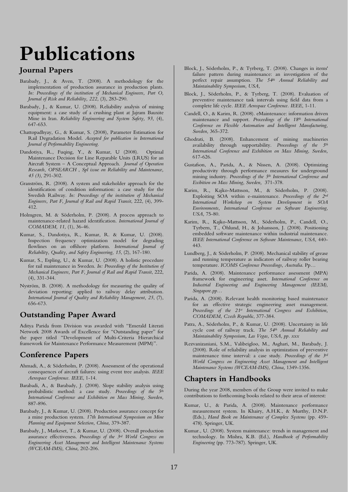## **Publications**

## **Journal Papers**

- Barabady, J., & Aven, T. (2008). A methodology for the implementation of production assurance in production plants. *In: Proceedings of the institution of Mechanical Engineers, Part O, Journal of Risk and Reliability, 222,* (3), 283-290.
- Barabady, J., & Kumar, U. (2008). Reliability analysis of mining equipment: a case study of a crushing plant at Jajram Bauxite Mine in Iran. *Reliability Engineering and System Safety, 93,* (4), 647-653.
- Chattopadhyay, G., & Kumar, S. (2008), Parameter Estimation for Rail Degradation Model. *Accepted for publication in International Journal of Performability Engineering*.
- Dandotiya, R., Fuqing, Y., & Kumar, U (2008). Optimal Maintenance Decision for Line Reparable Units (LRUS) for an Aircraft System – A Conceptual Approach. *Journal of Operation Research, OPSEARCH* , *Spl issue on Reliability and Maintenance, 45 (3),* 291-302.
- Granström, R. (2008). A system and stakeholder approach for the identification of condition information: a case study for the Swedish Railway. *In: Proceedings of the institution of Mechanical Engineers, Part F*, *Journal of Rail and Rapid Transit*, 222, (4), 399- 412.
- Holmgren, M. & Söderholm, P. (2008). A process approach to maintenance-related hazard identification. *International Journal of COMADEM, 11,* (1), 36-46.
- Kumar, S., Dandotiya, R., Kumar, R. & Kumar, U. (2008). Inspection frequency optimization model for degrading flowlines on an offshore platform. *International Journal of Reliability, Quality, and Safety Engineering, 15*, (2), 167-180.
- Kumar, S., Espling, U., & Kumar, U. (2008). A holistic procedure for rail maintenance in Sweden. *In: Proceedings of the Institution of Mechanical Engineers, Part F, Journal of Rail and Rapid Transit*, 222, (4), 331-344.
- Nyström, B. (2008). A methodology for measuring the quality of deviation reporting: applied to railway delay attribution. *International Journal of Quality and Reliability Management, 25*, (7), 656-673.

## **Outstanding Paper Award**

Aditya Parida from Division was awarded with "Emerald Literati Network 2008 Awards of Excellence for "Outstanding paper" for the paper titled "Development of Multi-Criteria Hierarchical framework for Maintenance Performance Measurement (MPM)".

## **Conference Papers**

- Ahmadi, A., & Söderholm, P. (2008). Assessment of the operational consequences of aircraft failures: using event tree analysis. *IEEE Aerospace Conference. IEEE*, 1-14.
- Barabadi, A., & Barabady, J. (2008). Slope stability analysis using probabilistic method: a case study. *Proceedings of the 5th International Conference and Exhibition on Mass Mining, Sweden,*  887-896.
- Barabady, J., & Kumar, U. (2008). Production assurance concept for a mine production system. *17th International Symposium on Mine Planning and Equipment Selection, China,* 379-387.
- Barabady, J., Markeset, T., & Kumar, U. (2008). Overall production assurance effectiveness. *Proceedings of the 3rd World Congress on Engineering Asset Management and Intelligent Maintenance Systems (WCEAM-IMS), China,* 202-206.
- Block, J., Söderholm, P., & Tyrberg, T. (2008). Changes in items' failure pattern during maintenance: an investigation of the perfect repair assumption. *The 54th Annual Reliability and Maintainability Symposium, USA,*
- Block, J., Söderholm, P., & Tyrberg, T. (2008). Evaluation of preventive maintenance task intervals using field data from a complete life cycle. *IEEE Aerospace Conference. IEEE*, 1-11.
- Candell, O., & Karim, R. (2008). eMaintenance: information driven maintenance and support. *Proceedings of the 18th International Conference on Flexible Automation and Intelligent Manufacturing, Sweden,* 365-372.
- Ghodrati, B. (2008). Enhancement of mining machineries availability through supportability. *Proceedings of the 5th International Conference and Exhibition on Mass Mining, Sweden,*  617-626.
- Gustafson, A., Parida, A., & Nissen, A. (2008). Optimizing productivity through performance measures for underground mining industry. *Proceedings of the 5th International Conference and Exibition on Mass Mining, Sweden,* 371-378.
- Karim, R., Kajko-Mattsson, M., & Söderholm, P. (2008). Exploiting SOA within e-maintenance. *Proceedings of the 2nd International Workshop on System Development in SOA Environments, International Conference on Software Engineering, USA,* 75-80.
- Karim, R., Kajko-Mattsson, M., Söderholm, P., Candell, O., Tyrbern, T., Öhlund, H., & Johansson, J. (2008). Positioning embedded software maintenance within industrial maintenance. *IEEE International Conference on Software Maintenance, USA,* 440- 443.
- Lundberg, J., & Söderholm, P. (2008). Mechanical stability of grease and running temperature as indicators of railway roller bearing temperature. *ICOMS Conference Proceedings, Australia*. Pp…
- Parida, A. (2008). Maintenance performance assessment (MPA) framework for engineering asset. *International Conference on Industrial Engineering and Engineering Management (IEEM), Singapore.pp…*
- Parida, A. (2008). Relevant health monitoring based maintenance for an effective strategic engineering asset management. *Proceedings of the 21st International Congress and Exhibition, COMADEM, Czech Republic*, 377-384.
- Patra, A., Söderholm, P., & Kumar, U. (2008). Uncertainty in life cycle cost of railway track. *The 54th Annual Reliability and Maintainability Symposium, Las Vegas, USA, pp. xxx*
- Rezvanizaniani, S.M., Valibeigloo, M., Asghari, M., Barabady, J. (2008). Role of reliability analysis in optimization of preventive maintenance time interval: a case study. *Proceedings of the 3rd World Congress on Engineering Asset Management and Intelligent Maintenance Systems (WCEAM-IMS), China,* 1349-1356.

## **Chapters in Handbooks**

During the year 2008, members of the Group were invited to make contributions to forthcoming books related to their areas of interest:

- Kumar, U., & Parida, A. (2008). Maintenance performance measurement system. In Khairy, A.H.K., & Murthy, D.N.P. (Eds.), *Hand Book on Maintenance of Complex Systems* (pp. 459- 478). Springer, UK.
- Kumar., U. (2008). System maintenance: trends in management and technology. In Mishra, K.B. (Ed.), *Handbook of Performability Engineering* (pp. 773-787). Springer, UK.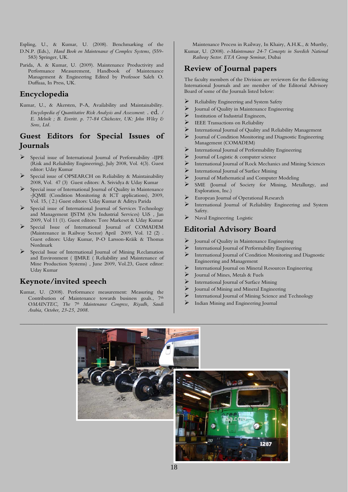Espling, U., & Kumar, U. (2008). Benchmarking of the Maintenance Process in Railway*,* In Khairy, A.H.K., & Murthy, D.N.P. (Eds.), *Hand Book on Maintenance of Complex Systems*, (559- 583) Springer, UK.

Parida, A. & Kumar, U. (2009). Maintenance Productivity and Performance Measurement, Handbook of Maintenance Management & Engineering Edited by Professor Saleh O. Duffuaa, In Press, UK.

## **Encyclopedia**

Kumar, U., & Akersten, P-A, Availability and Maintainability*. Encyclopedia of Quantitative Risk Analysis and Assessment*: . ed. */ E. Melnik ; B. Everitt. p. 77-84 Chichester, UK: John Wiley & Sons, Ltd.*

## **Guest Editors for Special Issues of Journals**

- Special issue of International Journal of Performability -IJPE (Risk and Reliability Engineering), July 2008, Vol. 4(3). Guest editor: Uday Kumar
- Special issue of OPSEARCH on Reliability & Maintainability 2008, Vol. 47 (3) Guest editors: A. Srividya & Uday Kumar
- Special issue of International Journal of Quality in Maintenance -JQME (Condition Monitoring & ICT applications), 2009, Vol. 15, ( 2.) Guest editors: Uday Kumar & Aditya Parida
- Special issue of International Journal of Services Technology and Management IJSTM (On Industrial Services) UiS , Jan 2009, Vol 11 (1). Guest editors: Tore Markeset & Uday Kumar
- Special Issue of International Journal of COMADEM (Maintenance in Railway Sector) April 2009, Vol. 12 (2) . Guest editors: Uday Kumar, P-O Larsson-Kråik & Thomas Nordmark
- Special Issue of International Journal of Mining Reclamation and Environment ( IJMRE ( Reliability and Maintenance of Mine Production Systems) , June 2009, Vol.23, Guest editor: Uday Kumar

## **Keynote/invited speech**

Kumar, U. (2008). Performance measurement: Measuring the Contribution of Maintenance towards business goals., 7<sup>th</sup> O*MAINTEC, The 7th Maintenance Congress, Riyadh, Saudi Arabia, October, 23-25, 2008.* 

Kumar, U. (2008). *e-Maintenance 24-7 Concepts in Swedish National Railway Sector. ETA Group Seminar,* Dubai

## **Review of Journal papers**

The faculty members of the Division are reviewers for the following International Journals and are member of the Editorial Advisory Board of some of the Journals listed below:

- ¾ Reliability Engineering and System Safety
- $\triangleright$  Journal of Quality in Maintenance Engineering
- $\sum_{\text{IEEE Trajectories on a reliability}}$
- IEEE Transactions on Reliability
- ¾ International Journal of Quality and Reliability Management
- Journal of Condition Monitoring and Diagnostic Engineering Management (COMADEM)
- International Journal of Performability Engineering
- $\triangleright$  Journal of Logistic & computer science
- ¾ International Journal of Rock Mechanics and Mining Sciences
- $\triangleright$  International Journal of Surface Mining
- Journal of Mathematical and Computer Modeling
- SME (Journal of Society for Mining, Metallurgy, and Exploration, Inc.)
- European Journal of Operational Research
- International Journal of Reliability Engineering and System Safety.
- Naval Engineering Logistic

## **Editorial Advisory Board**

- $\triangleright$  Journal of Quality in Maintenance Engineering
- International Journal of Performability Engineering
- International Journal of Condition Monitoring and Diagnostic Engineering and Management
- International Journal on Mineral Resources Engineering
- Journal of Mines, Metals & Fuels
- International Journal of Surface Mining
- Journal of Mining and Mineral Engineering
- International Journal of Mining Science and Technology
- Indian Mining and Engineering Journal

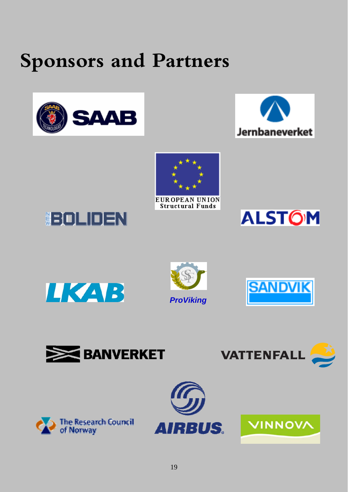# **Sponsors and Partners**







**EUROPEAN UNION Structural Funds**